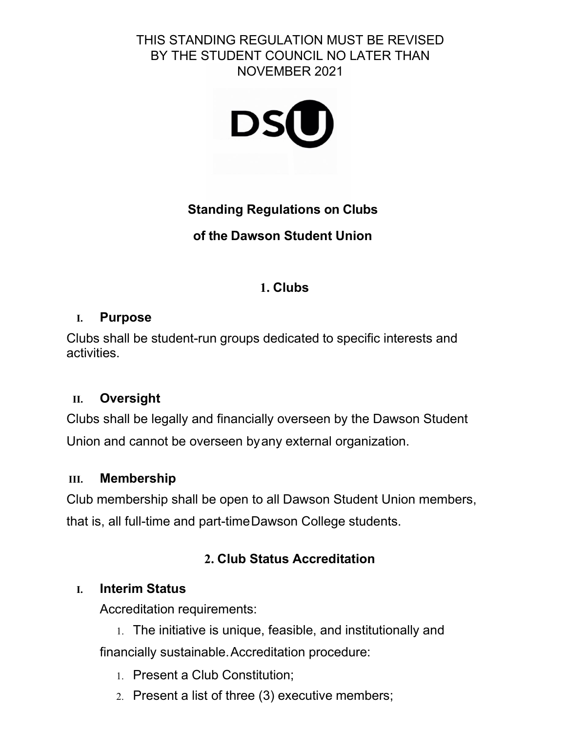### THIS STANDING REGULATION MUST BE REVISED BY THE STUDENT COUNCIL NO LATER THAN NOVEMBER 2021



# **Standing Regulations on Clubs**

# **of the Dawson Student Union**

# **1. Clubs**

## **I. Purpose**

Clubs shall be student-run groups dedicated to specific interests and activities.

# **II. Oversight**

Clubs shall be legally and financially overseen by the Dawson Student Union and cannot be overseen byany external organization.

# **III. Membership**

Club membership shall be open to all Dawson Student Union members, that is, all full-time and part-timeDawson College students.

# **2. Club Status Accreditation**

# **I. Interim Status**

Accreditation requirements:

- 1. The initiative is unique, feasible, and institutionally and financially sustainable.Accreditation procedure:
	- 1. Present a Club Constitution;
	- 2. Present a list of three (3) executive members;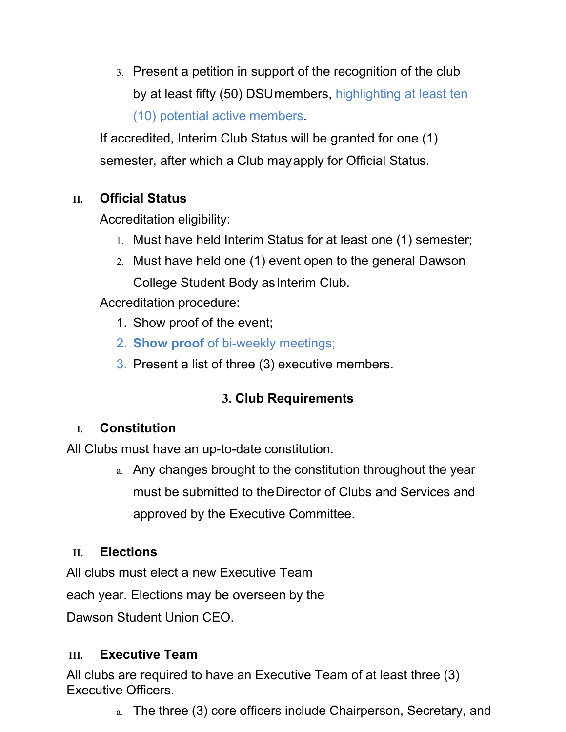3. Present a petition in support of the recognition of the club by at least fifty (50) DSUmembers, highlighting at least ten (10) potential active members.

If accredited, Interim Club Status will be granted for one (1) semester, after which a Club mayapply for Official Status.

# **II. Official Status**

Accreditation eligibility:

- 1. Must have held Interim Status for at least one (1) semester;
- 2. Must have held one (1) event open to the general Dawson College Student Body asInterim Club.

Accreditation procedure:

- 1. Show proof of the event;
- 2. **Show proof** of bi-weekly meetings;
- 3. Present a list of three (3) executive members.

# **3. Club Requirements**

# **I. Constitution**

All Clubs must have an up-to-date constitution.

a. Any changes brought to the constitution throughout the year must be submitted to theDirector of Clubs and Services and approved by the Executive Committee.

### **II. Elections**

All clubs must elect a new Executive Team

each year. Elections may be overseen by the

Dawson Student Union CEO.

### **III. Executive Team**

All clubs are required to have an Executive Team of at least three (3) Executive Officers.

a. The three (3) core officers include Chairperson, Secretary, and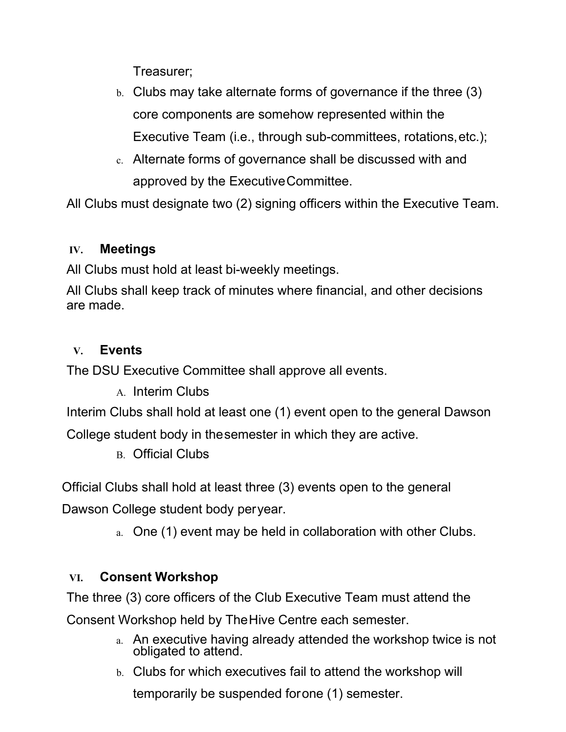Treasurer;

- b. Clubs may take alternate forms of governance if the three (3) core components are somehow represented within the Executive Team (i.e., through sub-committees, rotations,etc.);
- c. Alternate forms of governance shall be discussed with and approved by the ExecutiveCommittee.

All Clubs must designate two (2) signing officers within the Executive Team.

### **IV. Meetings**

All Clubs must hold at least bi-weekly meetings.

All Clubs shall keep track of minutes where financial, and other decisions are made.

### **V. Events**

The DSU Executive Committee shall approve all events.

A. Interim Clubs

Interim Clubs shall hold at least one (1) event open to the general Dawson

College student body in thesemester in which they are active.

B. Official Clubs

Official Clubs shall hold at least three (3) events open to the general

Dawson College student body peryear.

a. One (1) event may be held in collaboration with other Clubs.

### **VI. Consent Workshop**

The three (3) core officers of the Club Executive Team must attend the

Consent Workshop held by TheHive Centre each semester.

- a. An executive having already attended the workshop twice is not obligated to attend.
- b. Clubs for which executives fail to attend the workshop will temporarily be suspended forone (1) semester.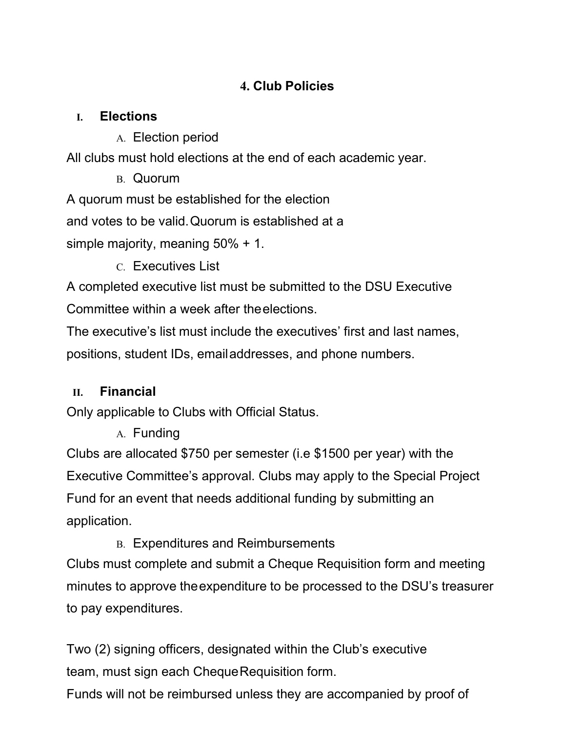# **4. Club Policies**

## **I. Elections**

A. Election period

All clubs must hold elections at the end of each academic year.

B. Quorum

A quorum must be established for the election

and votes to be valid.Quorum is established at a

simple majority, meaning 50% + 1.

C. Executives List

A completed executive list must be submitted to the DSU Executive Committee within a week after theelections.

The executive's list must include the executives' first and last names, positions, student IDs, emailaddresses, and phone numbers.

# **II. Financial**

Only applicable to Clubs with Official Status.

A. Funding

Clubs are allocated \$750 per semester (i.e \$1500 per year) with the Executive Committee's approval. Clubs may apply to the Special Project Fund for an event that needs additional funding by submitting an application.

B. Expenditures and Reimbursements

Clubs must complete and submit a Cheque Requisition form and meeting minutes to approve theexpenditure to be processed to the DSU's treasurer to pay expenditures.

Two (2) signing officers, designated within the Club's executive team, must sign each Cheque Requisition form.

Funds will not be reimbursed unless they are accompanied by proof of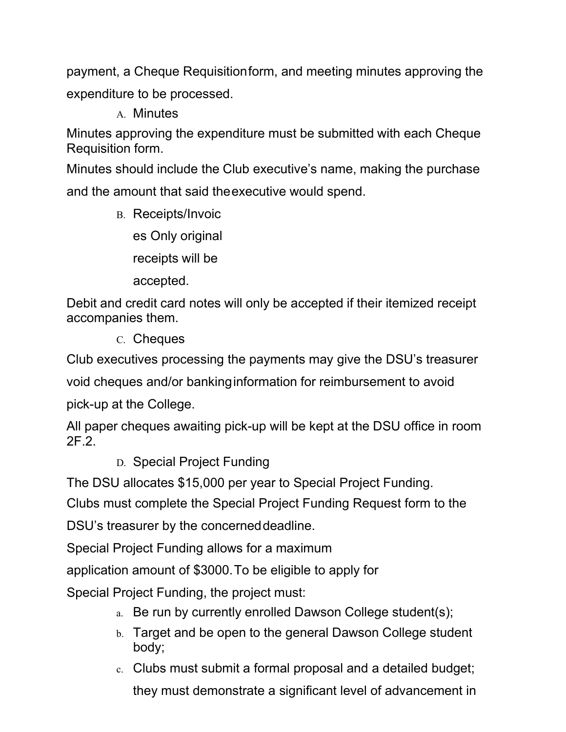payment, a Cheque Requisitionform, and meeting minutes approving the expenditure to be processed.

A. Minutes

Minutes approving the expenditure must be submitted with each Cheque Requisition form.

Minutes should include the Club executive's name, making the purchase and the amount that said theexecutive would spend.

B. Receipts/Invoic

es Only original

receipts will be

accepted.

Debit and credit card notes will only be accepted if their itemized receipt accompanies them.

C. Cheques

Club executives processing the payments may give the DSU's treasurer

void cheques and/or bankinginformation for reimbursement to avoid

pick-up at the College.

All paper cheques awaiting pick-up will be kept at the DSU office in room 2F.2.

D. Special Project Funding

The DSU allocates \$15,000 per year to Special Project Funding.

Clubs must complete the Special Project Funding Request form to the

DSU's treasurer by the concerneddeadline.

Special Project Funding allows for a maximum

application amount of \$3000.To be eligible to apply for

Special Project Funding, the project must:

- a. Be run by currently enrolled Dawson College student(s);
- b. Target and be open to the general Dawson College student body;
- c. Clubs must submit a formal proposal and a detailed budget; they must demonstrate a significant level of advancement in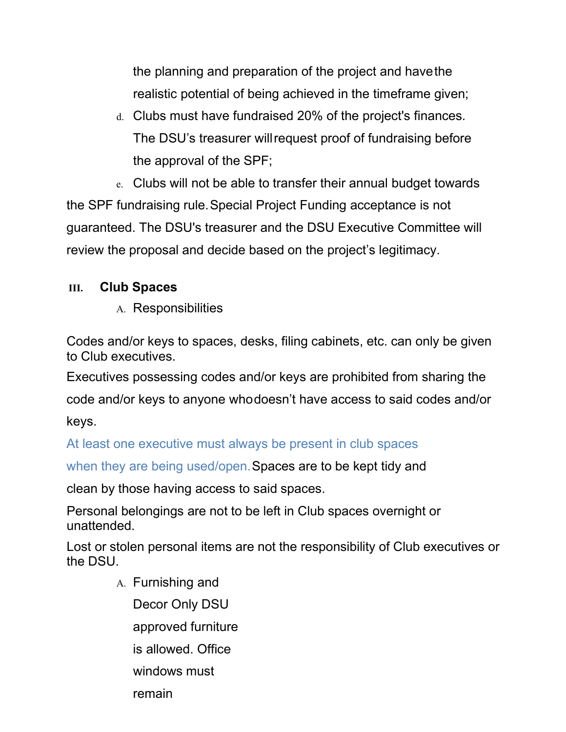the planning and preparation of the project and havethe realistic potential of being achieved in the timeframe given;

d. Clubs must have fundraised 20% of the project's finances. The DSU's treasurer willrequest proof of fundraising before the approval of the SPF;

e. Clubs will not be able to transfer their annual budget towards the SPF fundraising rule.Special Project Funding acceptance is not guaranteed. The DSU's treasurer and the DSU Executive Committee will review the proposal and decide based on the project's legitimacy.

### **III. Club Spaces**

A. Responsibilities

Codes and/or keys to spaces, desks, filing cabinets, etc. can only be given to Club executives.

Executives possessing codes and/or keys are prohibited from sharing the code and/or keys to anyone whodoesn't have access to said codes and/or

keys.

At least one executive must always be present in club spaces

when they are being used/open. Spaces are to be kept tidy and

clean by those having access to said spaces.

Personal belongings are not to be left in Club spaces overnight or unattended.

Lost or stolen personal items are not the responsibility of Club executives or the DSU.

> A. Furnishing and Decor Only DSU approved furniture is allowed. Office windows must remain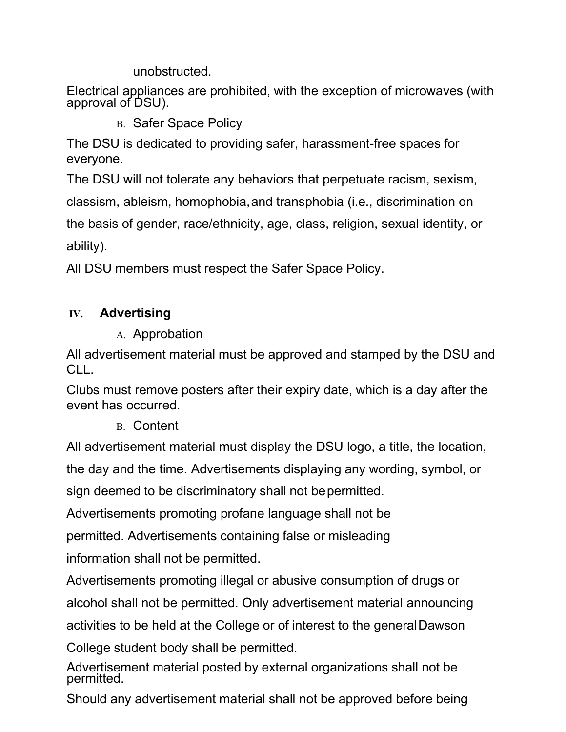unobstructed.

Electrical appliances are prohibited, with the exception of microwaves (with approval of DSU).

B. Safer Space Policy

The DSU is dedicated to providing safer, harassment-free spaces for everyone.

The DSU will not tolerate any behaviors that perpetuate racism, sexism,

classism, ableism, homophobia,and transphobia (i.e., discrimination on

the basis of gender, race/ethnicity, age, class, religion, sexual identity, or ability).

All DSU members must respect the Safer Space Policy.

## **IV. Advertising**

A. Approbation

All advertisement material must be approved and stamped by the DSU and CLL.

Clubs must remove posters after their expiry date, which is a day after the event has occurred.

B. Content

All advertisement material must display the DSU logo, a title, the location, the day and the time. Advertisements displaying any wording, symbol, or sign deemed to be discriminatory shall not bepermitted.

Advertisements promoting profane language shall not be

permitted. Advertisements containing false or misleading information shall not be permitted.

Advertisements promoting illegal or abusive consumption of drugs or alcohol shall not be permitted. Only advertisement material announcing activities to be held at the College or of interest to the generalDawson

College student body shall be permitted.

Advertisement material posted by external organizations shall not be permitted.

Should any advertisement material shall not be approved before being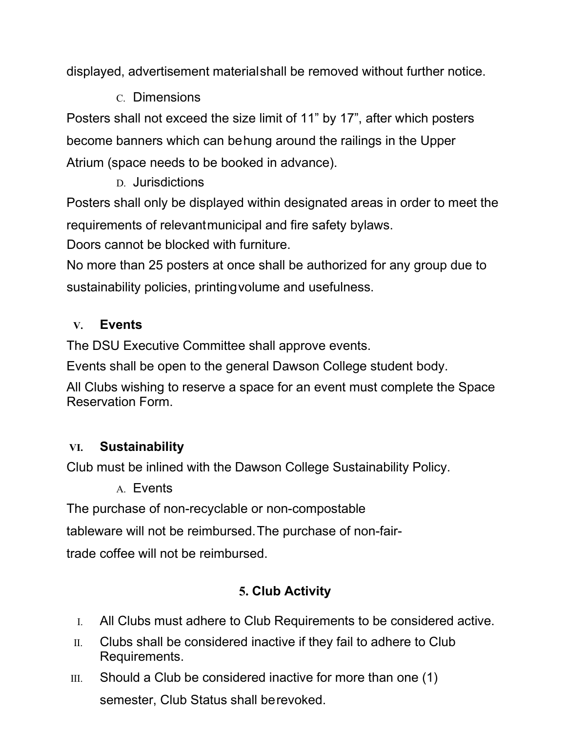displayed, advertisement materialshall be removed without further notice.

C. Dimensions

Posters shall not exceed the size limit of 11" by 17", after which posters become banners which can behung around the railings in the Upper Atrium (space needs to be booked in advance).

D. Jurisdictions

Posters shall only be displayed within designated areas in order to meet the requirements of relevantmunicipal and fire safety bylaws.

Doors cannot be blocked with furniture.

No more than 25 posters at once shall be authorized for any group due to sustainability policies, printingvolume and usefulness.

# **V. Events**

The DSU Executive Committee shall approve events.

Events shall be open to the general Dawson College student body.

All Clubs wishing to reserve a space for an event must complete the Space Reservation Form.

# **VI. Sustainability**

Club must be inlined with the Dawson College Sustainability Policy.

A. Events

The purchase of non-recyclable or non-compostable

tableware will not be reimbursed.The purchase of non-fair-

trade coffee will not be reimbursed.

# **5. Club Activity**

- I. All Clubs must adhere to Club Requirements to be considered active.
- II. Clubs shall be considered inactive if they fail to adhere to Club Requirements.
- III. Should a Club be considered inactive for more than one  $(1)$ semester, Club Status shall berevoked.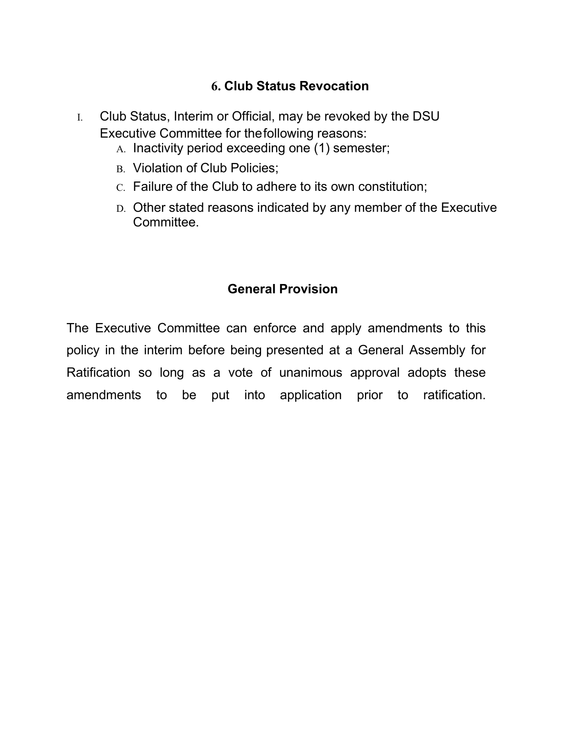### **6. Club Status Revocation**

- I. Club Status, Interim or Official, may be revoked by the DSU Executive Committee for thefollowing reasons:
	- A. Inactivity period exceeding one (1) semester;
	- B. Violation of Club Policies;
	- C. Failure of the Club to adhere to its own constitution;
	- D. Other stated reasons indicated by any member of the Executive Committee.

### **General Provision**

The Executive Committee can enforce and apply amendments to this policy in the interim before being presented at a General Assembly for Ratification so long as a vote of unanimous approval adopts these amendments to be put into application prior to ratification.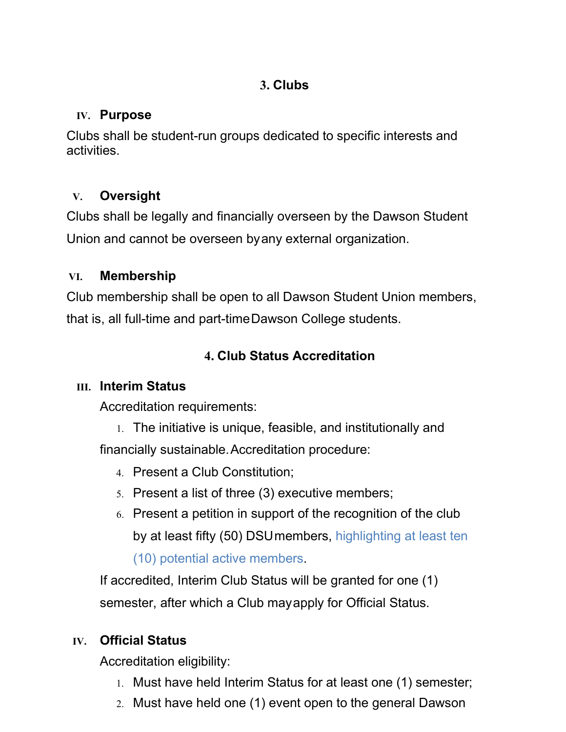# **3. Clubs**

## **IV. Purpose**

Clubs shall be student-run groups dedicated to specific interests and activities.

# **V. Oversight**

Clubs shall be legally and financially overseen by the Dawson Student Union and cannot be overseen byany external organization.

# **VI. Membership**

Club membership shall be open to all Dawson Student Union members, that is, all full-time and part-timeDawson College students.

# **4. Club Status Accreditation**

# **III. Interim Status**

Accreditation requirements:

- 1. The initiative is unique, feasible, and institutionally and financially sustainable.Accreditation procedure:
	- 4. Present a Club Constitution;
	- 5. Present a list of three (3) executive members;
	- 6. Present a petition in support of the recognition of the club by at least fifty (50) DSUmembers, highlighting at least ten

(10) potential active members.

If accredited, Interim Club Status will be granted for one (1) semester, after which a Club mayapply for Official Status.

# **IV. Official Status**

Accreditation eligibility:

- 1. Must have held Interim Status for at least one (1) semester;
- 2. Must have held one (1) event open to the general Dawson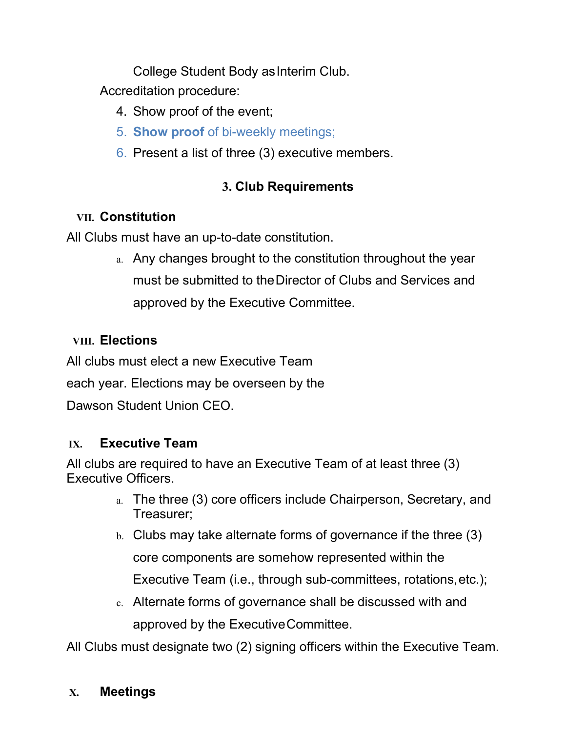College Student Body asInterim Club.

Accreditation procedure:

- 4. Show proof of the event;
- 5. **Show proof** of bi-weekly meetings;
- 6. Present a list of three (3) executive members.

# **3. Club Requirements**

# **VII. Constitution**

All Clubs must have an up-to-date constitution.

a. Any changes brought to the constitution throughout the year must be submitted to theDirector of Clubs and Services and approved by the Executive Committee.

## **VIII. Elections**

All clubs must elect a new Executive Team

each year. Elections may be overseen by the

Dawson Student Union CEO.

### **IX. Executive Team**

All clubs are required to have an Executive Team of at least three (3) Executive Officers.

- a. The three (3) core officers include Chairperson, Secretary, and Treasurer;
- b. Clubs may take alternate forms of governance if the three (3) core components are somehow represented within the Executive Team (i.e., through sub-committees, rotations,etc.);
- c. Alternate forms of governance shall be discussed with and approved by the ExecutiveCommittee.

All Clubs must designate two (2) signing officers within the Executive Team.

#### **X. Meetings**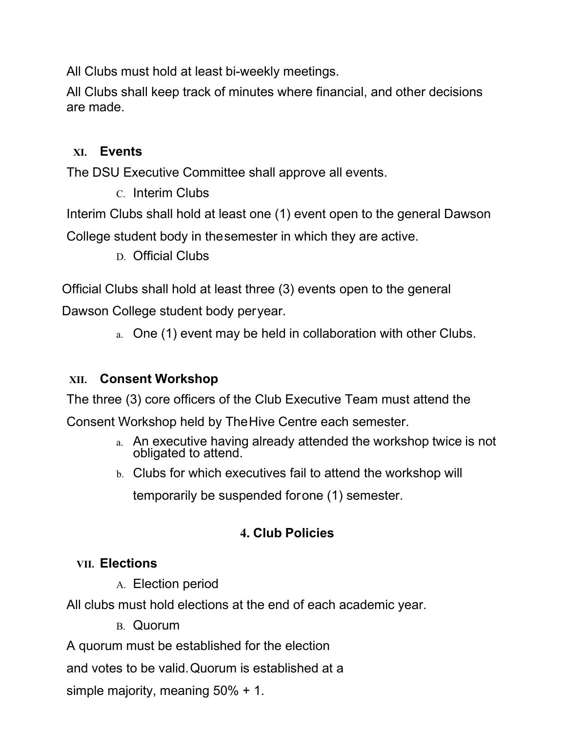All Clubs must hold at least bi-weekly meetings.

All Clubs shall keep track of minutes where financial, and other decisions are made.

#### **XI. Events**

The DSU Executive Committee shall approve all events.

C. Interim Clubs

Interim Clubs shall hold at least one (1) event open to the general Dawson

College student body in thesemester in which they are active.

D. Official Clubs

Official Clubs shall hold at least three (3) events open to the general Dawson College student body peryear.

a. One (1) event may be held in collaboration with other Clubs.

#### **XII. Consent Workshop**

The three (3) core officers of the Club Executive Team must attend the

Consent Workshop held by TheHive Centre each semester.

- a. An executive having already attended the workshop twice is not obligated to attend.
- b. Clubs for which executives fail to attend the workshop will temporarily be suspended forone (1) semester.

### **4. Club Policies**

#### **VII. Elections**

A. Election period

All clubs must hold elections at the end of each academic year.

B. Quorum

A quorum must be established for the election

and votes to be valid.Quorum is established at a

simple majority, meaning 50% + 1.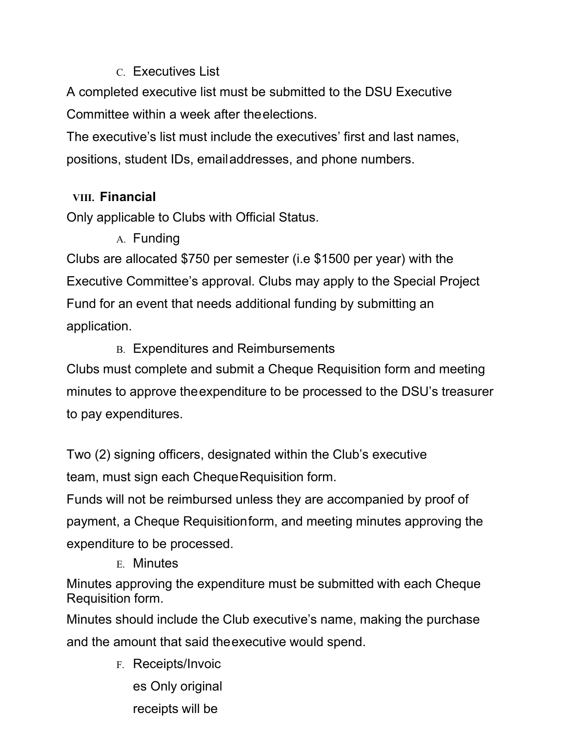#### C. Executives List

A completed executive list must be submitted to the DSU Executive Committee within a week after theelections.

The executive's list must include the executives' first and last names, positions, student IDs, emailaddresses, and phone numbers.

### **VIII. Financial**

Only applicable to Clubs with Official Status.

# A. Funding

Clubs are allocated \$750 per semester (i.e \$1500 per year) with the Executive Committee's approval. Clubs may apply to the Special Project Fund for an event that needs additional funding by submitting an application.

## B. Expenditures and Reimbursements

Clubs must complete and submit a Cheque Requisition form and meeting minutes to approve theexpenditure to be processed to the DSU's treasurer to pay expenditures.

Two (2) signing officers, designated within the Club's executive team, must sign each ChequeRequisition form.

Funds will not be reimbursed unless they are accompanied by proof of payment, a Cheque Requisitionform, and meeting minutes approving the expenditure to be processed.

E. Minutes

Minutes approving the expenditure must be submitted with each Cheque Requisition form.

Minutes should include the Club executive's name, making the purchase and the amount that said theexecutive would spend.

> F. Receipts/Invoic es Only original receipts will be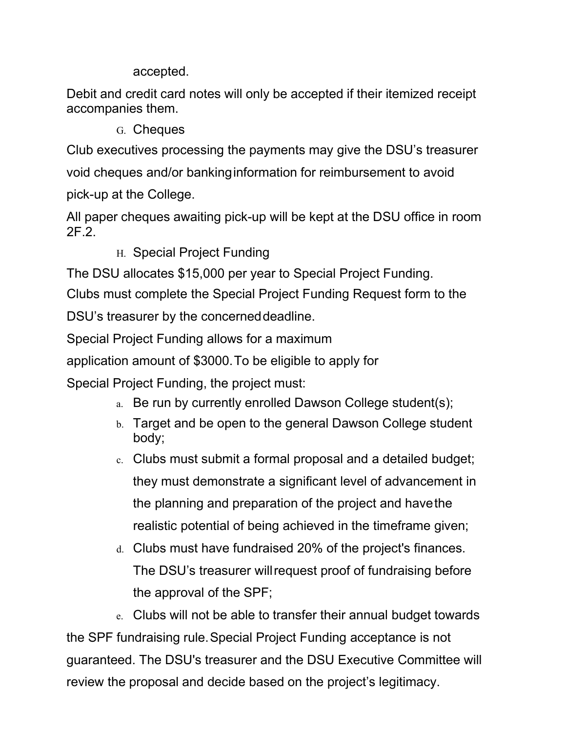accepted.

Debit and credit card notes will only be accepted if their itemized receipt accompanies them.

G. Cheques

Club executives processing the payments may give the DSU's treasurer void cheques and/or bankinginformation for reimbursement to avoid pick-up at the College.

All paper cheques awaiting pick-up will be kept at the DSU office in room 2F.2.

H. Special Project Funding

The DSU allocates \$15,000 per year to Special Project Funding.

Clubs must complete the Special Project Funding Request form to the DSU's treasurer by the concerneddeadline.

Special Project Funding allows for a maximum

application amount of \$3000.To be eligible to apply for

Special Project Funding, the project must:

- a. Be run by currently enrolled Dawson College student(s);
- b. Target and be open to the general Dawson College student body;
- c. Clubs must submit a formal proposal and a detailed budget; they must demonstrate a significant level of advancement in the planning and preparation of the project and havethe realistic potential of being achieved in the timeframe given;
- d. Clubs must have fundraised 20% of the project's finances. The DSU's treasurer willrequest proof of fundraising before the approval of the SPF;

e. Clubs will not be able to transfer their annual budget towards the SPF fundraising rule.Special Project Funding acceptance is not guaranteed. The DSU's treasurer and the DSU Executive Committee will review the proposal and decide based on the project's legitimacy.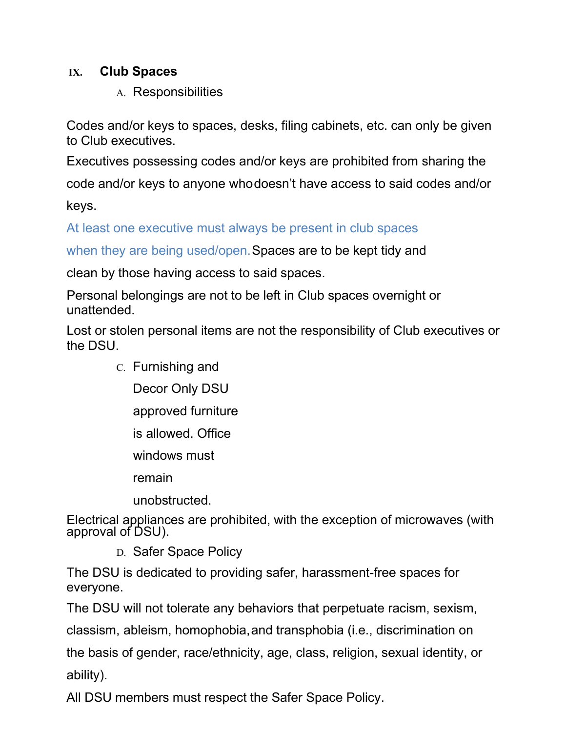#### **IX. Club Spaces**

A. Responsibilities

Codes and/or keys to spaces, desks, filing cabinets, etc. can only be given to Club executives.

Executives possessing codes and/or keys are prohibited from sharing the

code and/or keys to anyone whodoesn't have access to said codes and/or

keys.

At least one executive must always be present in club spaces

when they are being used/open. Spaces are to be kept tidy and

clean by those having access to said spaces.

Personal belongings are not to be left in Club spaces overnight or unattended.

Lost or stolen personal items are not the responsibility of Club executives or the DSU.

- C. Furnishing and
	- Decor Only DSU
	- approved furniture
	- is allowed. Office
	- windows must
	- remain
	- unobstructed.

Electrical appliances are prohibited, with the exception of microwaves (with approval of DSU).

D. Safer Space Policy

The DSU is dedicated to providing safer, harassment-free spaces for everyone.

The DSU will not tolerate any behaviors that perpetuate racism, sexism,

classism, ableism, homophobia,and transphobia (i.e., discrimination on

the basis of gender, race/ethnicity, age, class, religion, sexual identity, or ability).

All DSU members must respect the Safer Space Policy.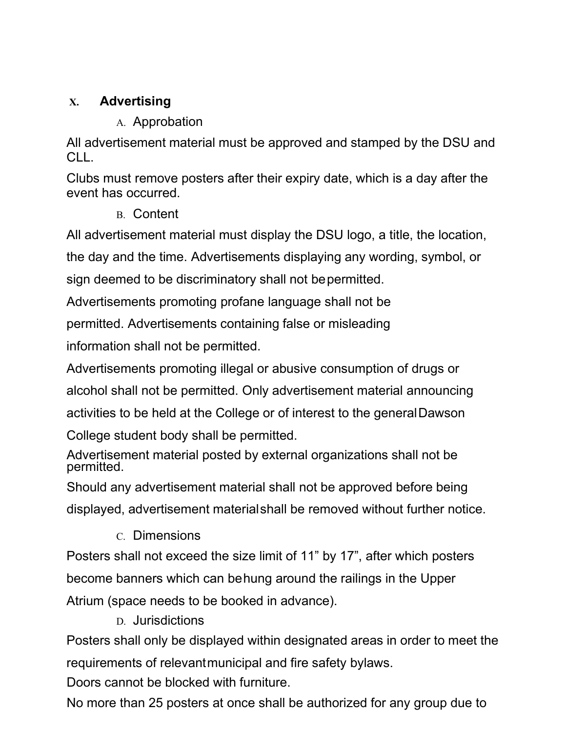## **X. Advertising**

A. Approbation

All advertisement material must be approved and stamped by the DSU and CLL.

Clubs must remove posters after their expiry date, which is a day after the event has occurred.

B. Content

All advertisement material must display the DSU logo, a title, the location,

the day and the time. Advertisements displaying any wording, symbol, or

sign deemed to be discriminatory shall not bepermitted.

Advertisements promoting profane language shall not be

permitted. Advertisements containing false or misleading

information shall not be permitted.

Advertisements promoting illegal or abusive consumption of drugs or alcohol shall not be permitted. Only advertisement material announcing

activities to be held at the College or of interest to the generalDawson

College student body shall be permitted.

Advertisement material posted by external organizations shall not be permitted.

Should any advertisement material shall not be approved before being displayed, advertisement materialshall be removed without further notice.

C. Dimensions

Posters shall not exceed the size limit of 11" by 17", after which posters become banners which can behung around the railings in the Upper Atrium (space needs to be booked in advance).

D. Jurisdictions

Posters shall only be displayed within designated areas in order to meet the requirements of relevantmunicipal and fire safety bylaws.

Doors cannot be blocked with furniture.

No more than 25 posters at once shall be authorized for any group due to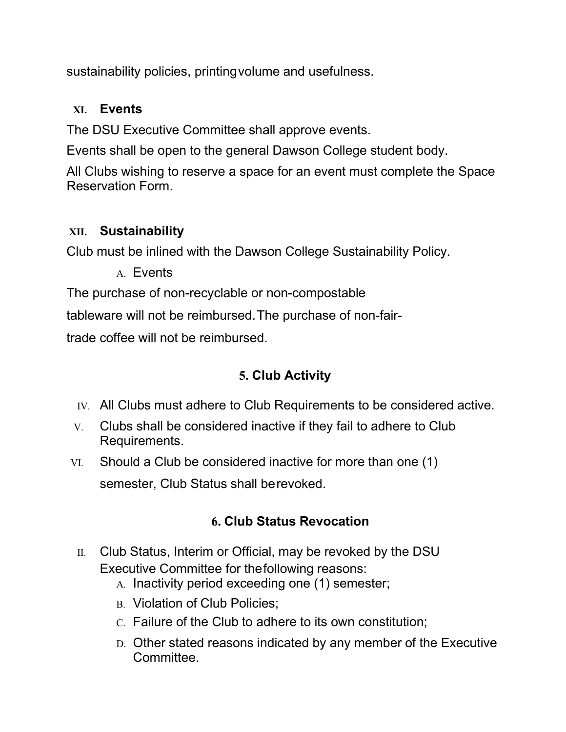sustainability policies, printingvolume and usefulness.

### **XI. Events**

The DSU Executive Committee shall approve events.

Events shall be open to the general Dawson College student body.

All Clubs wishing to reserve a space for an event must complete the Space Reservation Form.

### **XII. Sustainability**

Club must be inlined with the Dawson College Sustainability Policy.

A. Events

The purchase of non-recyclable or non-compostable

tableware will not be reimbursed.The purchase of non-fair-

trade coffee will not be reimbursed.

# **5. Club Activity**

- IV. All Clubs must adhere to Club Requirements to be considered active.
- V. Clubs shall be considered inactive if they fail to adhere to Club Requirements.
- VI. Should a Club be considered inactive for more than one (1) semester, Club Status shall berevoked.

### **6. Club Status Revocation**

- II. Club Status, Interim or Official, may be revoked by the DSU Executive Committee for thefollowing reasons:
	- A. Inactivity period exceeding one (1) semester;
	- B. Violation of Club Policies:
	- C. Failure of the Club to adhere to its own constitution;
	- D. Other stated reasons indicated by any member of the Executive Committee.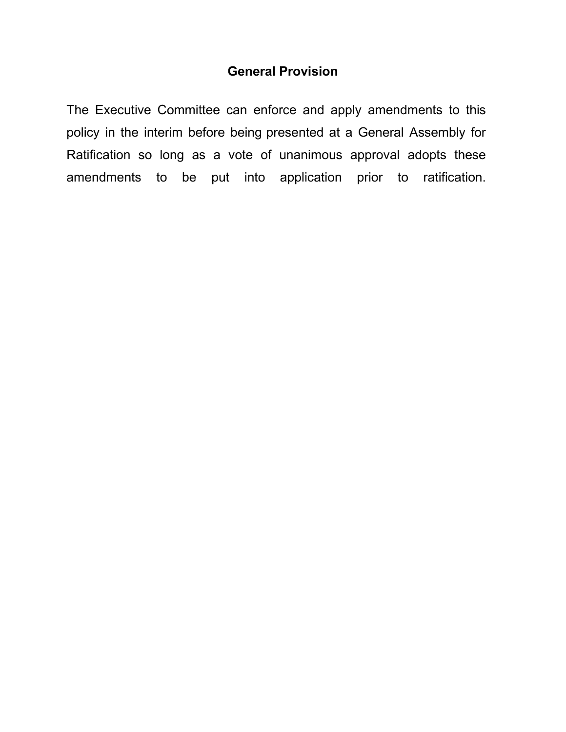#### **General Provision**

The Executive Committee can enforce and apply amendments to this policy in the interim before being presented at a General Assembly for Ratification so long as a vote of unanimous approval adopts these amendments to be put into application prior to ratification.